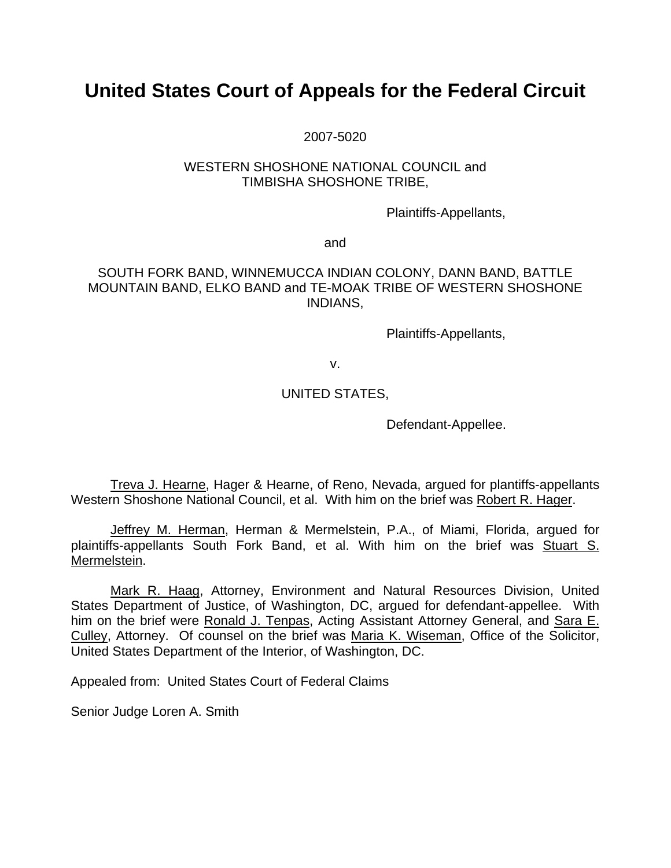# **United States Court of Appeals for the Federal Circuit**

2007-5020

#### WESTERN SHOSHONE NATIONAL COUNCIL and TIMBISHA SHOSHONE TRIBE,

Plaintiffs-Appellants,

and

#### SOUTH FORK BAND, WINNEMUCCA INDIAN COLONY, DANN BAND, BATTLE MOUNTAIN BAND, ELKO BAND and TE-MOAK TRIBE OF WESTERN SHOSHONE INDIANS,

Plaintiffs-Appellants,

v.

## UNITED STATES,

Defendant-Appellee.

Treva J. Hearne, Hager & Hearne, of Reno, Nevada, argued for plantiffs-appellants Western Shoshone National Council, et al. With him on the brief was Robert R. Hager.

Jeffrey M. Herman, Herman & Mermelstein, P.A., of Miami, Florida, argued for plaintiffs-appellants South Fork Band, et al. With him on the brief was Stuart S. Mermelstein.

Mark R. Haag, Attorney, Environment and Natural Resources Division, United States Department of Justice, of Washington, DC, argued for defendant-appellee. With him on the brief were Ronald J. Tenpas, Acting Assistant Attorney General, and Sara E. Culley, Attorney. Of counsel on the brief was Maria K. Wiseman, Office of the Solicitor, United States Department of the Interior, of Washington, DC.

Appealed from: United States Court of Federal Claims

Senior Judge Loren A. Smith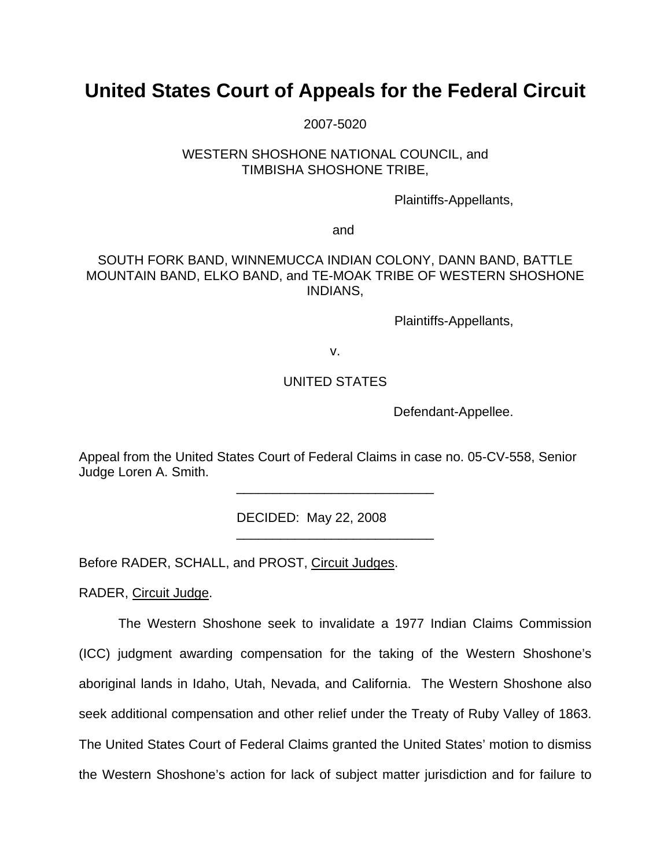# **United States Court of Appeals for the Federal Circuit**

2007-5020

#### WESTERN SHOSHONE NATIONAL COUNCIL, and TIMBISHA SHOSHONE TRIBE,

Plaintiffs-Appellants,

and

### SOUTH FORK BAND, WINNEMUCCA INDIAN COLONY, DANN BAND, BATTLE MOUNTAIN BAND, ELKO BAND, and TE-MOAK TRIBE OF WESTERN SHOSHONE INDIANS,

Plaintiffs-Appellants,

v.

### UNITED STATES

Defendant-Appellee.

Appeal from the United States Court of Federal Claims in case no. 05-CV-558, Senior Judge Loren A. Smith.

\_\_\_\_\_\_\_\_\_\_\_\_\_\_\_\_\_\_\_\_\_\_\_\_\_\_\_

\_\_\_\_\_\_\_\_\_\_\_\_\_\_\_\_\_\_\_\_\_\_\_\_\_\_\_

DECIDED: May 22, 2008

Before RADER, SCHALL, and PROST, Circuit Judges.

RADER, Circuit Judge.

The Western Shoshone seek to invalidate a 1977 Indian Claims Commission (ICC) judgment awarding compensation for the taking of the Western Shoshone's aboriginal lands in Idaho, Utah, Nevada, and California. The Western Shoshone also seek additional compensation and other relief under the Treaty of Ruby Valley of 1863. The United States Court of Federal Claims granted the United States' motion to dismiss the Western Shoshone's action for lack of subject matter jurisdiction and for failure to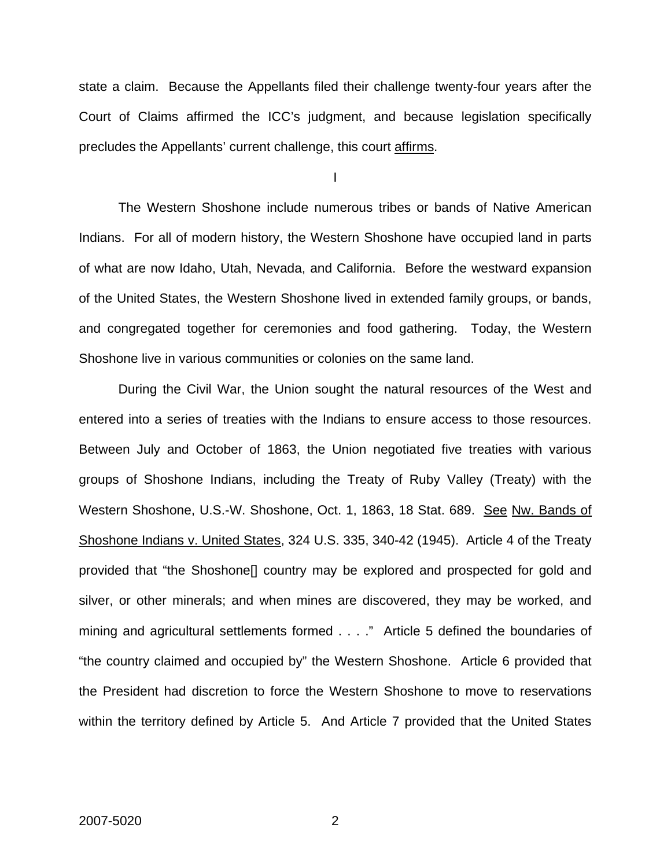state a claim. Because the Appellants filed their challenge twenty-four years after the Court of Claims affirmed the ICC's judgment, and because legislation specifically precludes the Appellants' current challenge, this court affirms.

I

The Western Shoshone include numerous tribes or bands of Native American Indians. For all of modern history, the Western Shoshone have occupied land in parts of what are now Idaho, Utah, Nevada, and California. Before the westward expansion of the United States, the Western Shoshone lived in extended family groups, or bands, and congregated together for ceremonies and food gathering. Today, the Western Shoshone live in various communities or colonies on the same land.

During the Civil War, the Union sought the natural resources of the West and entered into a series of treaties with the Indians to ensure access to those resources. Between July and October of 1863, the Union negotiated five treaties with various groups of Shoshone Indians, including the Treaty of Ruby Valley (Treaty) with the Western Shoshone, U.S.-W. Shoshone, Oct. 1, 1863, 18 Stat. 689. See Nw. Bands of Shoshone Indians v. United States, 324 U.S. 335, 340-42 (1945). Article 4 of the Treaty provided that "the Shoshone[] country may be explored and prospected for gold and silver, or other minerals; and when mines are discovered, they may be worked, and mining and agricultural settlements formed . . . ." Article 5 defined the boundaries of "the country claimed and occupied by" the Western Shoshone. Article 6 provided that the President had discretion to force the Western Shoshone to move to reservations within the territory defined by Article 5. And Article 7 provided that the United States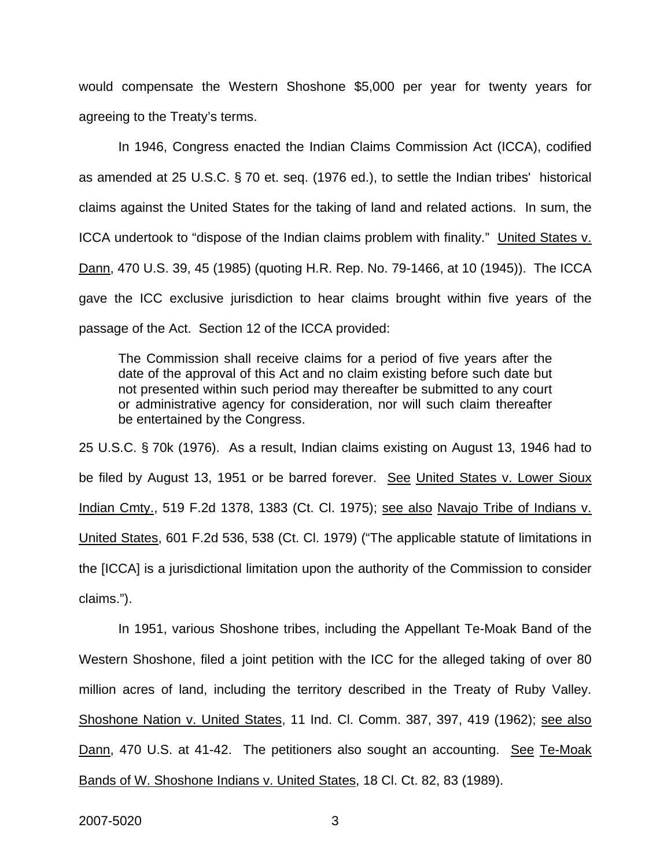would compensate the Western Shoshone \$5,000 per year for twenty years for agreeing to the Treaty's terms.

In 1946, Congress enacted the Indian Claims Commission Act (ICCA), codified as amended at 25 U.S.C. § 70 et. seq. (1976 ed.), to settle the Indian tribes' historical claims against the United States for the taking of land and related actions. In sum, the ICCA undertook to "dispose of the Indian claims problem with finality." United States v. Dann, 470 U.S. 39, 45 (1985) (quoting H.R. Rep. No. 79-1466, at 10 (1945)). The ICCA gave the ICC exclusive jurisdiction to hear claims brought within five years of the passage of the Act. Section 12 of the ICCA provided:

The Commission shall receive claims for a period of five years after the date of the approval of this Act and no claim existing before such date but not presented within such period may thereafter be submitted to any court or administrative agency for consideration, nor will such claim thereafter be entertained by the Congress.

25 U.S.C. § 70k (1976). As a result, Indian claims existing on August 13, 1946 had to be filed by August 13, 1951 or be barred forever. See United States v. Lower Sioux Indian Cmty., 519 F.2d 1378, 1383 (Ct. Cl. 1975); see also Navajo Tribe of Indians v. United States, 601 F.2d 536, 538 (Ct. Cl. 1979) ("The applicable statute of limitations in the [ICCA] is a jurisdictional limitation upon the authority of the Commission to consider claims.").

In 1951, various Shoshone tribes, including the Appellant Te-Moak Band of the Western Shoshone, filed a joint petition with the ICC for the alleged taking of over 80 million acres of land, including the territory described in the Treaty of Ruby Valley. Shoshone Nation v. United States, 11 Ind. Cl. Comm. 387, 397, 419 (1962); see also Dann, 470 U.S. at 41-42. The petitioners also sought an accounting. See Te-Moak Bands of W. Shoshone Indians v. United States, 18 Cl. Ct. 82, 83 (1989).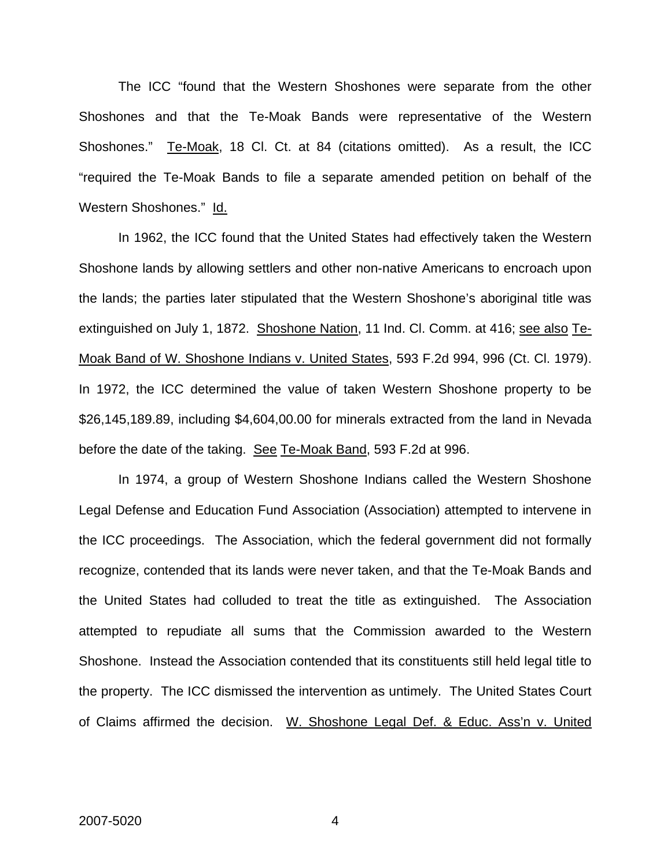The ICC "found that the Western Shoshones were separate from the other Shoshones and that the Te-Moak Bands were representative of the Western Shoshones." Te-Moak, 18 Cl. Ct. at 84 (citations omitted). As a result, the ICC "required the Te-Moak Bands to file a separate amended petition on behalf of the Western Shoshones." Id.

In 1962, the ICC found that the United States had effectively taken the Western Shoshone lands by allowing settlers and other non-native Americans to encroach upon the lands; the parties later stipulated that the Western Shoshone's aboriginal title was extinguished on July 1, 1872. Shoshone Nation, 11 Ind. Cl. Comm. at 416; see also Te-Moak Band of W. Shoshone Indians v. United States, 593 F.2d 994, 996 (Ct. Cl. 1979). In 1972, the ICC determined the value of taken Western Shoshone property to be \$26,145,189.89, including \$4,604,00.00 for minerals extracted from the land in Nevada before the date of the taking. See Te-Moak Band, 593 F.2d at 996.

In 1974, a group of Western Shoshone Indians called the Western Shoshone Legal Defense and Education Fund Association (Association) attempted to intervene in the ICC proceedings. The Association, which the federal government did not formally recognize, contended that its lands were never taken, and that the Te-Moak Bands and the United States had colluded to treat the title as extinguished. The Association attempted to repudiate all sums that the Commission awarded to the Western Shoshone. Instead the Association contended that its constituents still held legal title to the property. The ICC dismissed the intervention as untimely. The United States Court of Claims affirmed the decision. W. Shoshone Legal Def. & Educ. Ass'n v. United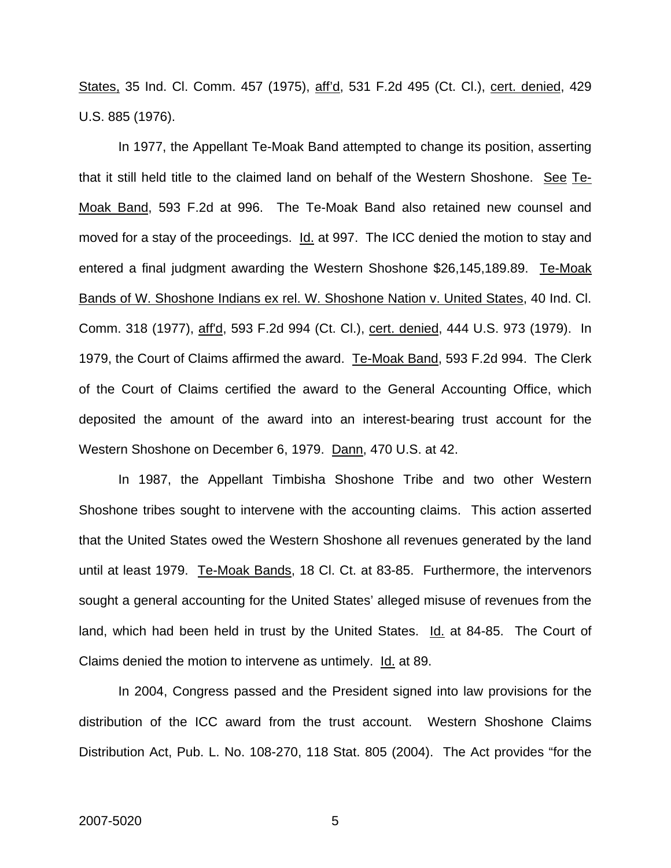States, 35 Ind. Cl. Comm. 457 (1975), aff'd, 531 F.2d 495 (Ct. Cl.), cert. denied, 429 U.S. 885 (1976).

In 1977, the Appellant Te-Moak Band attempted to change its position, asserting that it still held title to the claimed land on behalf of the Western Shoshone. See Te-Moak Band, 593 F.2d at 996. The Te-Moak Band also retained new counsel and moved for a stay of the proceedings. Id. at 997. The ICC denied the motion to stay and entered a final judgment awarding the Western Shoshone \$26,145,189.89. Te-Moak Bands of W. Shoshone Indians ex rel. W. Shoshone Nation v. United States, 40 Ind. Cl. Comm. 318 (1977), aff'd, 593 F.2d 994 (Ct. Cl.), cert. denied, 444 U.S. 973 (1979). In 1979, the Court of Claims affirmed the award. Te-Moak Band, 593 F.2d 994. The Clerk of the Court of Claims certified the award to the General Accounting Office, which deposited the amount of the award into an interest-bearing trust account for the Western Shoshone on December 6, 1979. Dann, 470 U.S. at 42.

In 1987, the Appellant Timbisha Shoshone Tribe and two other Western Shoshone tribes sought to intervene with the accounting claims. This action asserted that the United States owed the Western Shoshone all revenues generated by the land until at least 1979. Te-Moak Bands, 18 Cl. Ct. at 83-85. Furthermore, the intervenors sought a general accounting for the United States' alleged misuse of revenues from the land, which had been held in trust by the United States. Id. at 84-85. The Court of Claims denied the motion to intervene as untimely. Id. at 89.

In 2004, Congress passed and the President signed into law provisions for the distribution of the ICC award from the trust account. Western Shoshone Claims Distribution Act, Pub. L. No. 108-270, 118 Stat. 805 (2004). The Act provides "for the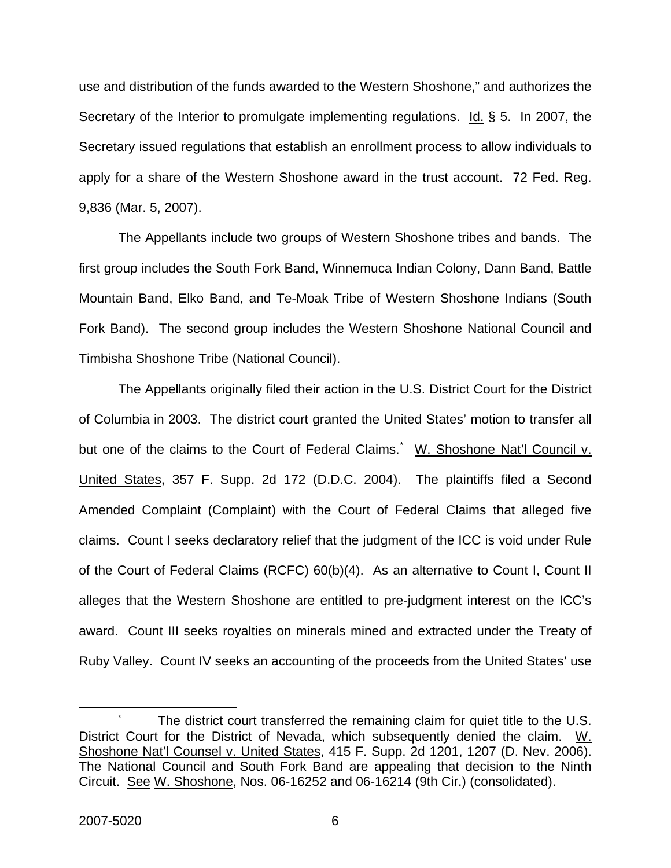use and distribution of the funds awarded to the Western Shoshone," and authorizes the Secretary of the Interior to promulgate implementing regulations. Id. § 5. In 2007, the Secretary issued regulations that establish an enrollment process to allow individuals to apply for a share of the Western Shoshone award in the trust account. 72 Fed. Reg. 9,836 (Mar. 5, 2007).

The Appellants include two groups of Western Shoshone tribes and bands. The first group includes the South Fork Band, Winnemuca Indian Colony, Dann Band, Battle Mountain Band, Elko Band, and Te-Moak Tribe of Western Shoshone Indians (South Fork Band). The second group includes the Western Shoshone National Council and Timbisha Shoshone Tribe (National Council).

The Appellants originally filed their action in the U.S. District Court for the District of Columbia in 2003. The district court granted the United States' motion to transfer all but one of the claims to the Court of Federal Claims. M. Shoshone Nat'l Council v. United States, 357 F. Supp. 2d 172 (D.D.C. 2004). The plaintiffs filed a Second Amended Complaint (Complaint) with the Court of Federal Claims that alleged five claims. Count I seeks declaratory relief that the judgment of the ICC is void under Rule of the Court of Federal Claims (RCFC) 60(b)(4). As an alternative to Count I, Count II alleges that the Western Shoshone are entitled to pre-judgment interest on the ICC's award. Count III seeks royalties on minerals mined and extracted under the Treaty of Ruby Valley. Count IV seeks an accounting of the proceeds from the United States' use

<span id="page-6-0"></span>The district court transferred the remaining claim for quiet title to the U.S. District Court for the District of Nevada, which subsequently denied the claim. W. Shoshone Nat'l Counsel v. United States, 415 F. Supp. 2d 1201, 1207 (D. Nev. 2006). The National Council and South Fork Band are appealing that decision to the Ninth Circuit. See W. Shoshone, Nos. 06-16252 and 06-16214 (9th Cir.) (consolidated).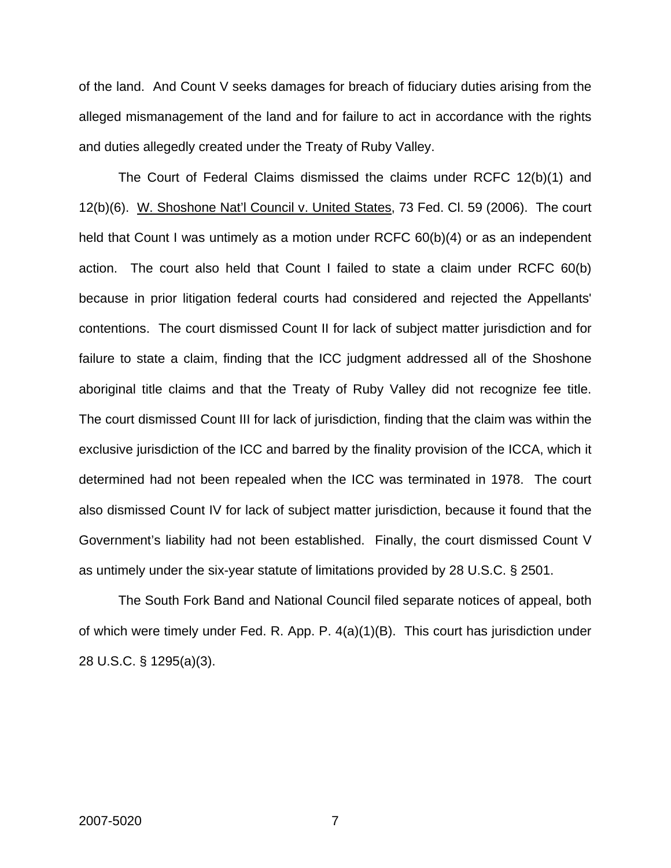of the land. And Count V seeks damages for breach of fiduciary duties arising from the alleged mismanagement of the land and for failure to act in accordance with the rights and duties allegedly created under the Treaty of Ruby Valley.

The Court of Federal Claims dismissed the claims under RCFC 12(b)(1) and 12(b)(6). W. Shoshone Nat'l Council v. United States, 73 Fed. Cl. 59 (2006). The court held that Count I was untimely as a motion under RCFC 60(b)(4) or as an independent action. The court also held that Count I failed to state a claim under RCFC 60(b) because in prior litigation federal courts had considered and rejected the Appellants' contentions. The court dismissed Count II for lack of subject matter jurisdiction and for failure to state a claim, finding that the ICC judgment addressed all of the Shoshone aboriginal title claims and that the Treaty of Ruby Valley did not recognize fee title. The court dismissed Count III for lack of jurisdiction, finding that the claim was within the exclusive jurisdiction of the ICC and barred by the finality provision of the ICCA, which it determined had not been repealed when the ICC was terminated in 1978. The court also dismissed Count IV for lack of subject matter jurisdiction, because it found that the Government's liability had not been established. Finally, the court dismissed Count V as untimely under the six-year statute of limitations provided by 28 U.S.C. § 2501.

The South Fork Band and National Council filed separate notices of appeal, both of which were timely under Fed. R. App. P. 4(a)(1)(B). This court has jurisdiction under 28 U.S.C. § 1295(a)(3).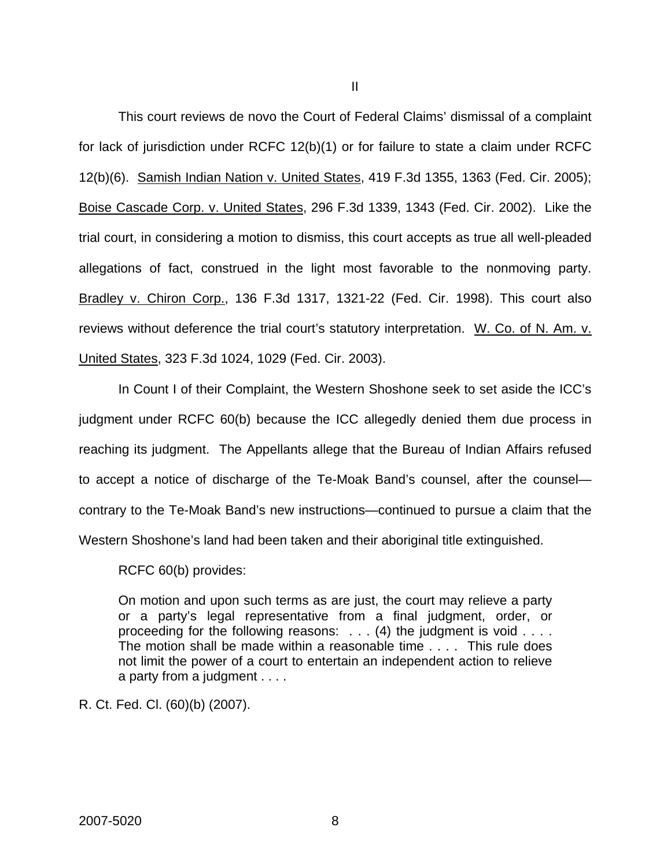This court reviews de novo the Court of Federal Claims' dismissal of a complaint for lack of jurisdiction under RCFC 12(b)(1) or for failure to state a claim under RCFC 12(b)(6). Samish Indian Nation v. United States, 419 F.3d 1355, 1363 (Fed. Cir. 2005); Boise Cascade Corp. v. United States, 296 F.3d 1339, 1343 (Fed. Cir. 2002). Like the trial court, in considering a motion to dismiss, this court accepts as true all well-pleaded allegations of fact, construed in the light most favorable to the nonmoving party. Bradley v. Chiron Corp., 136 F.3d 1317, 1321-22 (Fed. Cir. 1998). This court also reviews without deference the trial court's statutory interpretation. W. Co. of N. Am. v. United States, 323 F.3d 1024, 1029 (Fed. Cir. 2003).

In Count I of their Complaint, the Western Shoshone seek to set aside the ICC's judgment under RCFC 60(b) because the ICC allegedly denied them due process in reaching its judgment. The Appellants allege that the Bureau of Indian Affairs refused to accept a notice of discharge of the Te-Moak Band's counsel, after the counsel contrary to the Te-Moak Band's new instructions—continued to pursue a claim that the Western Shoshone's land had been taken and their aboriginal title extinguished.

RCFC 60(b) provides:

On motion and upon such terms as are just, the court may relieve a party or a party's legal representative from a final judgment, order, or proceeding for the following reasons: . . . (4) the judgment is void . . . . The motion shall be made within a reasonable time . . . . This rule does not limit the power of a court to entertain an independent action to relieve a party from a judgment . . . .

R. Ct. Fed. Cl. (60)(b) (2007).

II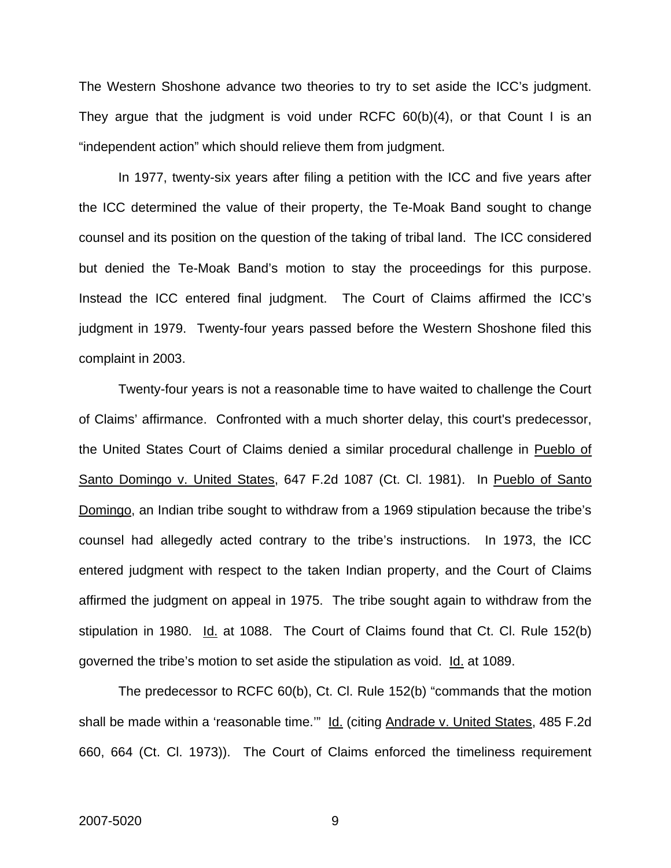The Western Shoshone advance two theories to try to set aside the ICC's judgment. They argue that the judgment is void under RCFC 60(b)(4), or that Count I is an "independent action" which should relieve them from judgment.

In 1977, twenty-six years after filing a petition with the ICC and five years after the ICC determined the value of their property, the Te-Moak Band sought to change counsel and its position on the question of the taking of tribal land. The ICC considered but denied the Te-Moak Band's motion to stay the proceedings for this purpose. Instead the ICC entered final judgment. The Court of Claims affirmed the ICC's judgment in 1979. Twenty-four years passed before the Western Shoshone filed this complaint in 2003.

Twenty-four years is not a reasonable time to have waited to challenge the Court of Claims' affirmance. Confronted with a much shorter delay, this court's predecessor, the United States Court of Claims denied a similar procedural challenge in Pueblo of Santo Domingo v. United States, 647 F.2d 1087 (Ct. Cl. 1981). In Pueblo of Santo Domingo, an Indian tribe sought to withdraw from a 1969 stipulation because the tribe's counsel had allegedly acted contrary to the tribe's instructions. In 1973, the ICC entered judgment with respect to the taken Indian property, and the Court of Claims affirmed the judgment on appeal in 1975. The tribe sought again to withdraw from the stipulation in 1980. Id. at 1088. The Court of Claims found that Ct. Cl. Rule 152(b) governed the tribe's motion to set aside the stipulation as void. Id. at 1089.

The predecessor to RCFC 60(b), Ct. Cl. Rule 152(b) "commands that the motion shall be made within a 'reasonable time."" Id. (citing Andrade v. United States, 485 F.2d 660, 664 (Ct. Cl. 1973)). The Court of Claims enforced the timeliness requirement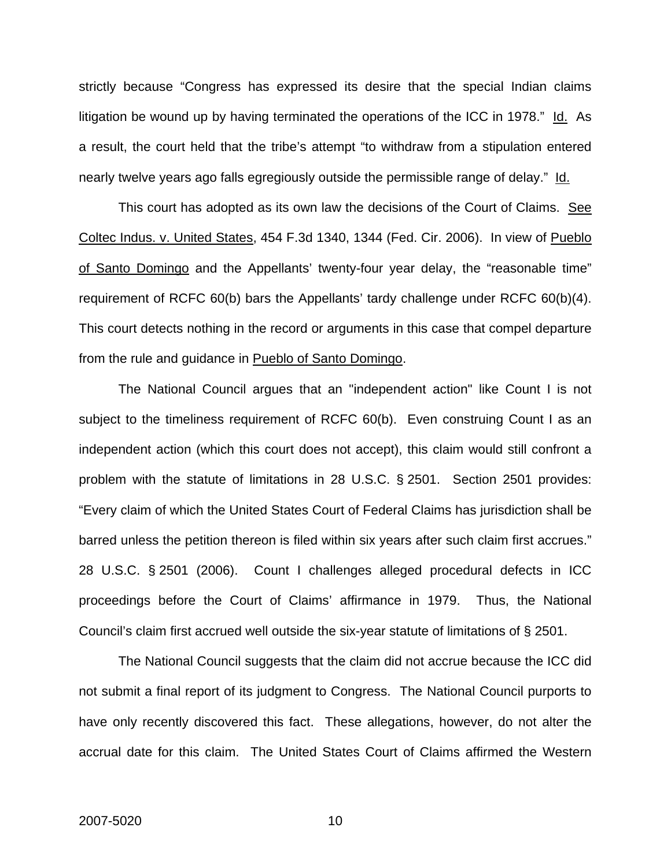strictly because "Congress has expressed its desire that the special Indian claims litigation be wound up by having terminated the operations of the ICC in 1978." Id. As a result, the court held that the tribe's attempt "to withdraw from a stipulation entered nearly twelve years ago falls egregiously outside the permissible range of delay." Id.

This court has adopted as its own law the decisions of the Court of Claims. See Coltec Indus. v. United States, 454 F.3d 1340, 1344 (Fed. Cir. 2006). In view of Pueblo of Santo Domingo and the Appellants' twenty-four year delay, the "reasonable time" requirement of RCFC 60(b) bars the Appellants' tardy challenge under RCFC 60(b)(4). This court detects nothing in the record or arguments in this case that compel departure from the rule and guidance in Pueblo of Santo Domingo.

The National Council argues that an "independent action" like Count I is not subject to the timeliness requirement of RCFC 60(b). Even construing Count I as an independent action (which this court does not accept), this claim would still confront a problem with the statute of limitations in 28 U.S.C. § 2501. Section 2501 provides: "Every claim of which the United States Court of Federal Claims has jurisdiction shall be barred unless the petition thereon is filed within six years after such claim first accrues." 28 U.S.C. § 2501 (2006). Count I challenges alleged procedural defects in ICC proceedings before the Court of Claims' affirmance in 1979. Thus, the National Council's claim first accrued well outside the six-year statute of limitations of § 2501.

The National Council suggests that the claim did not accrue because the ICC did not submit a final report of its judgment to Congress. The National Council purports to have only recently discovered this fact. These allegations, however, do not alter the accrual date for this claim. The United States Court of Claims affirmed the Western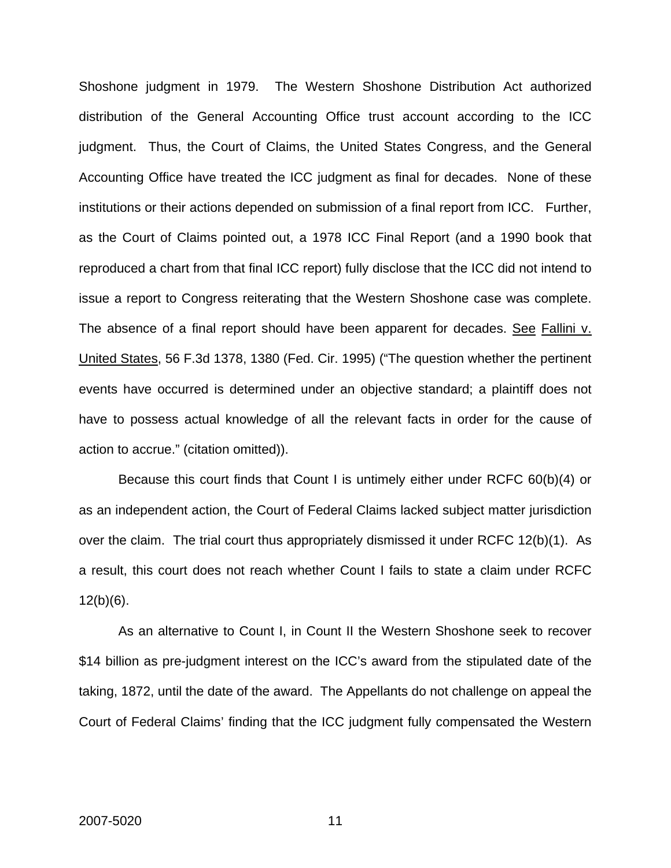Shoshone judgment in 1979. The Western Shoshone Distribution Act authorized distribution of the General Accounting Office trust account according to the ICC judgment. Thus, the Court of Claims, the United States Congress, and the General Accounting Office have treated the ICC judgment as final for decades. None of these institutions or their actions depended on submission of a final report from ICC. Further, as the Court of Claims pointed out, a 1978 ICC Final Report (and a 1990 book that reproduced a chart from that final ICC report) fully disclose that the ICC did not intend to issue a report to Congress reiterating that the Western Shoshone case was complete. The absence of a final report should have been apparent for decades. See Fallini v. United States, 56 F.3d 1378, 1380 (Fed. Cir. 1995) ("The question whether the pertinent events have occurred is determined under an objective standard; a plaintiff does not have to possess actual knowledge of all the relevant facts in order for the cause of action to accrue." (citation omitted)).

Because this court finds that Count I is untimely either under RCFC 60(b)(4) or as an independent action, the Court of Federal Claims lacked subject matter jurisdiction over the claim. The trial court thus appropriately dismissed it under RCFC 12(b)(1). As a result, this court does not reach whether Count I fails to state a claim under RCFC  $12(b)(6)$ .

As an alternative to Count I, in Count II the Western Shoshone seek to recover \$14 billion as pre-judgment interest on the ICC's award from the stipulated date of the taking, 1872, until the date of the award. The Appellants do not challenge on appeal the Court of Federal Claims' finding that the ICC judgment fully compensated the Western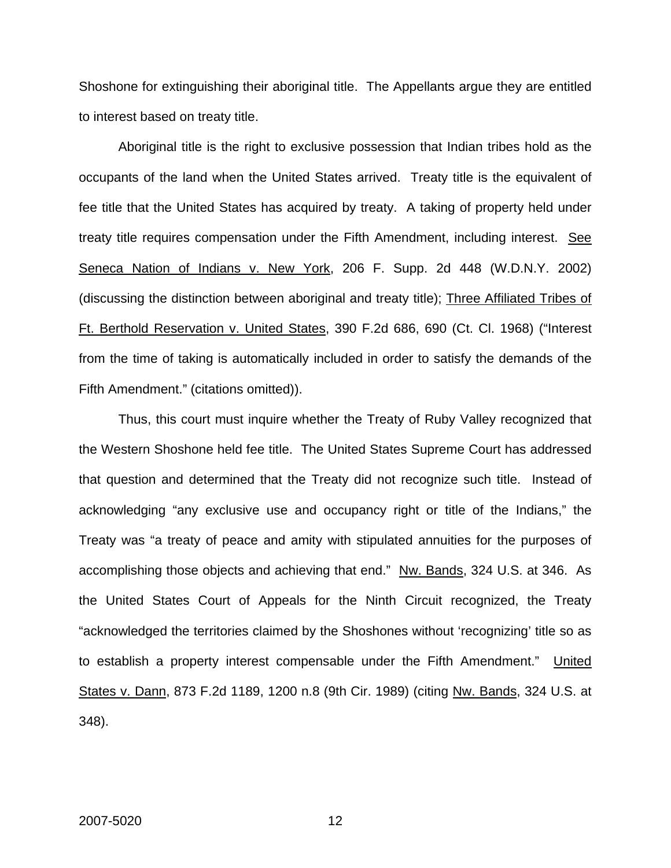Shoshone for extinguishing their aboriginal title. The Appellants argue they are entitled to interest based on treaty title.

Aboriginal title is the right to exclusive possession that Indian tribes hold as the occupants of the land when the United States arrived. Treaty title is the equivalent of fee title that the United States has acquired by treaty. A taking of property held under treaty title requires compensation under the Fifth Amendment, including interest. See Seneca Nation of Indians v. New York, 206 F. Supp. 2d 448 (W.D.N.Y. 2002) (discussing the distinction between aboriginal and treaty title); Three Affiliated Tribes of Ft. Berthold Reservation v. United States, 390 F.2d 686, 690 (Ct. Cl. 1968) ("Interest from the time of taking is automatically included in order to satisfy the demands of the Fifth Amendment." (citations omitted)).

Thus, this court must inquire whether the Treaty of Ruby Valley recognized that the Western Shoshone held fee title. The United States Supreme Court has addressed that question and determined that the Treaty did not recognize such title. Instead of acknowledging "any exclusive use and occupancy right or title of the Indians," the Treaty was "a treaty of peace and amity with stipulated annuities for the purposes of accomplishing those objects and achieving that end." Nw. Bands, 324 U.S. at 346. As the United States Court of Appeals for the Ninth Circuit recognized, the Treaty "acknowledged the territories claimed by the Shoshones without 'recognizing' title so as to establish a property interest compensable under the Fifth Amendment." United States v. Dann, 873 F.2d 1189, 1200 n.8 (9th Cir. 1989) (citing Nw. Bands, 324 U.S. at 348).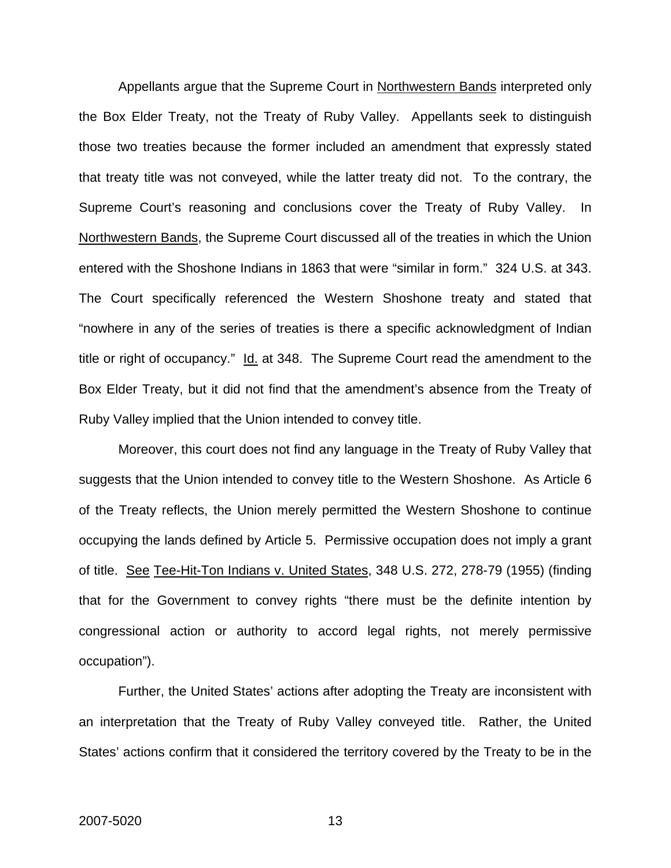Appellants argue that the Supreme Court in Northwestern Bands interpreted only the Box Elder Treaty, not the Treaty of Ruby Valley. Appellants seek to distinguish those two treaties because the former included an amendment that expressly stated that treaty title was not conveyed, while the latter treaty did not. To the contrary, the Supreme Court's reasoning and conclusions cover the Treaty of Ruby Valley. In Northwestern Bands, the Supreme Court discussed all of the treaties in which the Union entered with the Shoshone Indians in 1863 that were "similar in form." 324 U.S. at 343. The Court specifically referenced the Western Shoshone treaty and stated that "nowhere in any of the series of treaties is there a specific acknowledgment of Indian title or right of occupancy." Id. at 348. The Supreme Court read the amendment to the Box Elder Treaty, but it did not find that the amendment's absence from the Treaty of Ruby Valley implied that the Union intended to convey title.

Moreover, this court does not find any language in the Treaty of Ruby Valley that suggests that the Union intended to convey title to the Western Shoshone. As Article 6 of the Treaty reflects, the Union merely permitted the Western Shoshone to continue occupying the lands defined by Article 5. Permissive occupation does not imply a grant of title. See Tee-Hit-Ton Indians v. United States, 348 U.S. 272, 278-79 (1955) (finding that for the Government to convey rights "there must be the definite intention by congressional action or authority to accord legal rights, not merely permissive occupation").

Further, the United States' actions after adopting the Treaty are inconsistent with an interpretation that the Treaty of Ruby Valley conveyed title. Rather, the United States' actions confirm that it considered the territory covered by the Treaty to be in the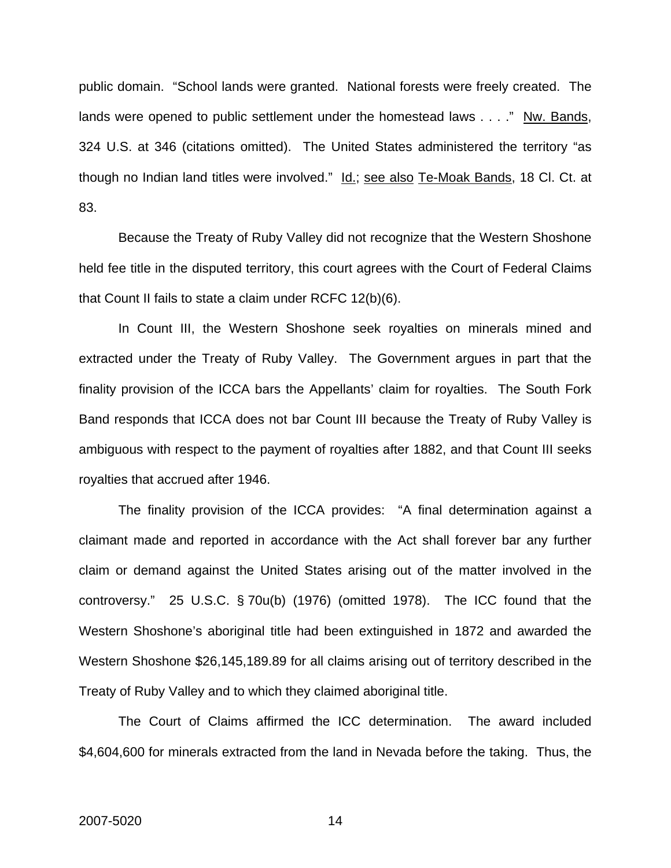public domain. "School lands were granted. National forests were freely created. The lands were opened to public settlement under the homestead laws . . . ." Nw. Bands, 324 U.S. at 346 (citations omitted). The United States administered the territory "as though no Indian land titles were involved." Id.; see also Te-Moak Bands, 18 Cl. Ct. at 83.

Because the Treaty of Ruby Valley did not recognize that the Western Shoshone held fee title in the disputed territory, this court agrees with the Court of Federal Claims that Count II fails to state a claim under RCFC 12(b)(6).

In Count III, the Western Shoshone seek royalties on minerals mined and extracted under the Treaty of Ruby Valley. The Government argues in part that the finality provision of the ICCA bars the Appellants' claim for royalties. The South Fork Band responds that ICCA does not bar Count III because the Treaty of Ruby Valley is ambiguous with respect to the payment of royalties after 1882, and that Count III seeks royalties that accrued after 1946.

The finality provision of the ICCA provides: "A final determination against a claimant made and reported in accordance with the Act shall forever bar any further claim or demand against the United States arising out of the matter involved in the controversy." 25 U.S.C. § 70u(b) (1976) (omitted 1978). The ICC found that the Western Shoshone's aboriginal title had been extinguished in 1872 and awarded the Western Shoshone \$26,145,189.89 for all claims arising out of territory described in the Treaty of Ruby Valley and to which they claimed aboriginal title.

The Court of Claims affirmed the ICC determination. The award included \$4,604,600 for minerals extracted from the land in Nevada before the taking. Thus, the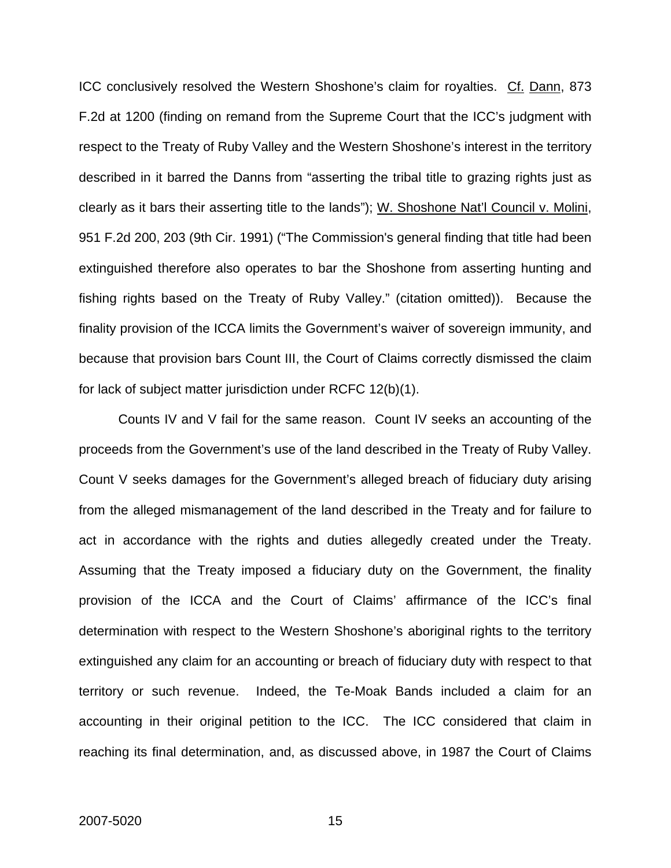ICC conclusively resolved the Western Shoshone's claim for royalties. Cf. Dann, 873 F.2d at 1200 (finding on remand from the Supreme Court that the ICC's judgment with respect to the Treaty of Ruby Valley and the Western Shoshone's interest in the territory described in it barred the Danns from "asserting the tribal title to grazing rights just as clearly as it bars their asserting title to the lands"); W. Shoshone Nat'l Council v. Molini, 951 F.2d 200, 203 (9th Cir. 1991) ("The Commission's general finding that title had been extinguished therefore also operates to bar the Shoshone from asserting hunting and fishing rights based on the Treaty of Ruby Valley." (citation omitted)). Because the finality provision of the ICCA limits the Government's waiver of sovereign immunity, and because that provision bars Count III, the Court of Claims correctly dismissed the claim for lack of subject matter jurisdiction under RCFC 12(b)(1).

Counts IV and V fail for the same reason. Count IV seeks an accounting of the proceeds from the Government's use of the land described in the Treaty of Ruby Valley. Count V seeks damages for the Government's alleged breach of fiduciary duty arising from the alleged mismanagement of the land described in the Treaty and for failure to act in accordance with the rights and duties allegedly created under the Treaty. Assuming that the Treaty imposed a fiduciary duty on the Government, the finality provision of the ICCA and the Court of Claims' affirmance of the ICC's final determination with respect to the Western Shoshone's aboriginal rights to the territory extinguished any claim for an accounting or breach of fiduciary duty with respect to that territory or such revenue. Indeed, the Te-Moak Bands included a claim for an accounting in their original petition to the ICC. The ICC considered that claim in reaching its final determination, and, as discussed above, in 1987 the Court of Claims